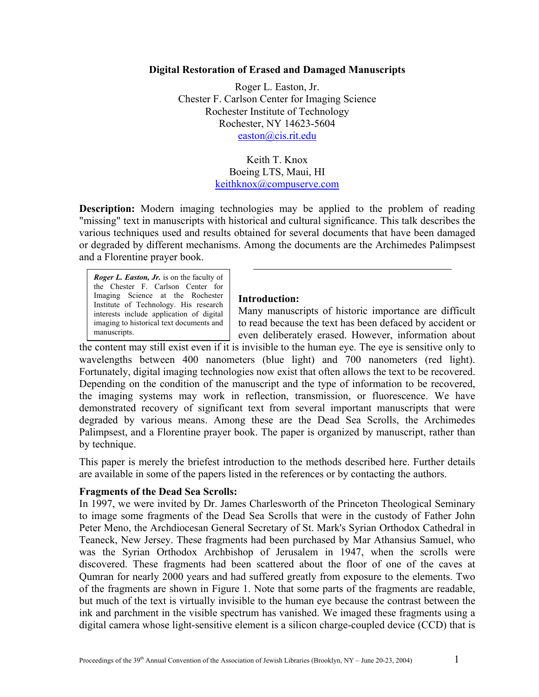## **Digital Restoration of Erased and Damaged Manuscripts**

Roger L. Easton, Jr. Chester F. Carlson Center for Imaging Science Rochester Institute of Technology Rochester, NY 14623-5604 [easton@cis.rit.edu](mailto:easton@cis.rit.edu)

> Keith T. Knox Boeing LTS, Maui, HI [keithknox@compuserve.com](mailto:keithknox@compuserve.com)

**Description:** Modern imaging technologies may be applied to the problem of reading "missing" text in manuscripts with historical and cultural significance. This talk describes the various techniques used and results obtained for several documents that have been damaged or degraded by different mechanisms. Among the documents are the Archimedes Palimpsest and a Florentine prayer book.

*Roger L. Easton, Jr.* is on the faculty of the Chester F. Carlson Center for Imaging Science at the Rochester Institute of Technology. His research interests include application of digital imaging to historical text documents and manuscripts.

### **Introduction:**

Many manuscripts of historic importance are difficult to read because the text has been defaced by accident or even deliberately erased. However, information about

the content may still exist even if it is invisible to the human eye. The eye is sensitive only to wavelengths between 400 nanometers (blue light) and 700 nanometers (red light). Fortunately, digital imaging technologies now exist that often allows the text to be recovered. Depending on the condition of the manuscript and the type of information to be recovered, the imaging systems may work in reflection, transmission, or fluorescence. We have demonstrated recovery of significant text from several important manuscripts that were degraded by various means. Among these are the Dead Sea Scrolls, the Archimedes Palimpsest, and a Florentine prayer book. The paper is organized by manuscript, rather than by technique.

This paper is merely the briefest introduction to the methods described here. Further details are available in some of the papers listed in the references or by contacting the authors.

### **Fragments of the Dead Sea Scrolls:**

In 1997, we were invited by Dr. James Charlesworth of the Princeton Theological Seminary to image some fragments of the Dead Sea Scrolls that were in the custody of Father John Peter Meno, the Archdiocesan General Secretary of St. Mark's Syrian Orthodox Cathedral in Teaneck, New Jersey. These fragments had been purchased by Mar Athansius Samuel, who was the Syrian Orthodox Archbishop of Jerusalem in 1947, when the scrolls were discovered. These fragments had been scattered about the floor of one of the caves at Qumran for nearly 2000 years and had suffered greatly from exposure to the elements. Two of the fragments are shown in Figure 1. Note that some parts of the fragments are readable, but much of the text is virtually invisible to the human eye because the contrast between the ink and parchment in the visible spectrum has vanished. We imaged these fragments using a digital camera whose light-sensitive element is a silicon charge-coupled device (CCD) that is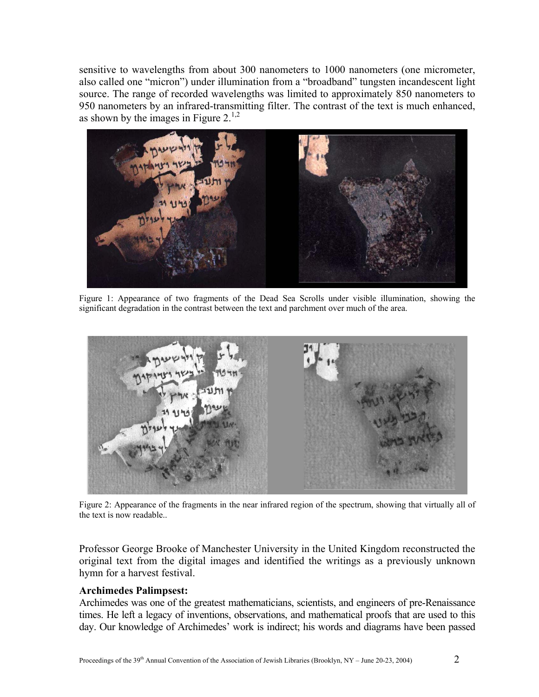sensitive to wavelengths from about 300 nanometers to 1000 nanometers (one micrometer, also called one "micron") under illumination from a "broadband" tungsten incandescent light source. The range of recorded wavelengths was limited to approximately 850 nanometers to 950 nanometers by an infrared-transmitting filter. The contrast of the text is much enhanced, as shown by the images in Figure  $2^{1,2}$ .



Figure 1: Appearance of two fragments of the Dead Sea Scrolls under visible illumination, showing the significant degradation in the contrast between the text and parchment over much of the area.



Figure 2: Appearance of the fragments in the near infrared region of the spectrum, showing that virtually all of the text is now readable..

Professor George Brooke of Manchester University in the United Kingdom reconstructed the original text from the digital images and identified the writings as a previously unknown hymn for a harvest festival.

### **Archimedes Palimpsest:**

Archimedes was one of the greatest mathematicians, scientists, and engineers of pre-Renaissance times. He left a legacy of inventions, observations, and mathematical proofs that are used to this day. Our knowledge of Archimedes' work is indirect; his words and diagrams have been passed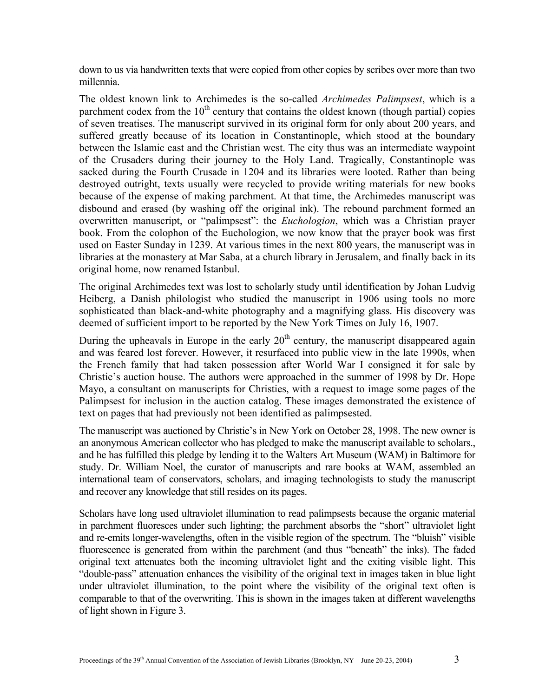down to us via handwritten texts that were copied from other copies by scribes over more than two millennia.

The oldest known link to Archimedes is the so-called *Archimedes Palimpsest*, which is a parchment codex from the  $10<sup>th</sup>$  century that contains the oldest known (though partial) copies of seven treatises. The manuscript survived in its original form for only about 200 years, and suffered greatly because of its location in Constantinople, which stood at the boundary between the Islamic east and the Christian west. The city thus was an intermediate waypoint of the Crusaders during their journey to the Holy Land. Tragically, Constantinople was sacked during the Fourth Crusade in 1204 and its libraries were looted. Rather than being destroyed outright, texts usually were recycled to provide writing materials for new books because of the expense of making parchment. At that time, the Archimedes manuscript was disbound and erased (by washing off the original ink). The rebound parchment formed an overwritten manuscript, or "palimpsest": the *Euchologion*, which was a Christian prayer book. From the colophon of the Euchologion, we now know that the prayer book was first used on Easter Sunday in 1239. At various times in the next 800 years, the manuscript was in libraries at the monastery at Mar Saba, at a church library in Jerusalem, and finally back in its original home, now renamed Istanbul.

The original Archimedes text was lost to scholarly study until identification by Johan Ludvig Heiberg, a Danish philologist who studied the manuscript in 1906 using tools no more sophisticated than black-and-white photography and a magnifying glass. His discovery was deemed of sufficient import to be reported by the New York Times on July 16, 1907.

During the upheavals in Europe in the early  $20<sup>th</sup>$  century, the manuscript disappeared again and was feared lost forever. However, it resurfaced into public view in the late 1990s, when the French family that had taken possession after World War I consigned it for sale by Christie's auction house. The authors were approached in the summer of 1998 by Dr. Hope Mayo, a consultant on manuscripts for Christies, with a request to image some pages of the Palimpsest for inclusion in the auction catalog. These images demonstrated the existence of text on pages that had previously not been identified as palimpsested.

The manuscript was auctioned by Christie's in New York on October 28, 1998. The new owner is an anonymous American collector who has pledged to make the manuscript available to scholars., and he has fulfilled this pledge by lending it to the Walters Art Museum (WAM) in Baltimore for study. Dr. William Noel, the curator of manuscripts and rare books at WAM, assembled an international team of conservators, scholars, and imaging technologists to study the manuscript and recover any knowledge that still resides on its pages.

Scholars have long used ultraviolet illumination to read palimpsests because the organic material in parchment fluoresces under such lighting; the parchment absorbs the "short" ultraviolet light and re-emits longer-wavelengths, often in the visible region of the spectrum. The "bluish" visible fluorescence is generated from within the parchment (and thus "beneath" the inks). The faded original text attenuates both the incoming ultraviolet light and the exiting visible light. This "double-pass" attenuation enhances the visibility of the original text in images taken in blue light under ultraviolet illumination, to the point where the visibility of the original text often is comparable to that of the overwriting. This is shown in the images taken at different wavelengths of light shown in Figure 3.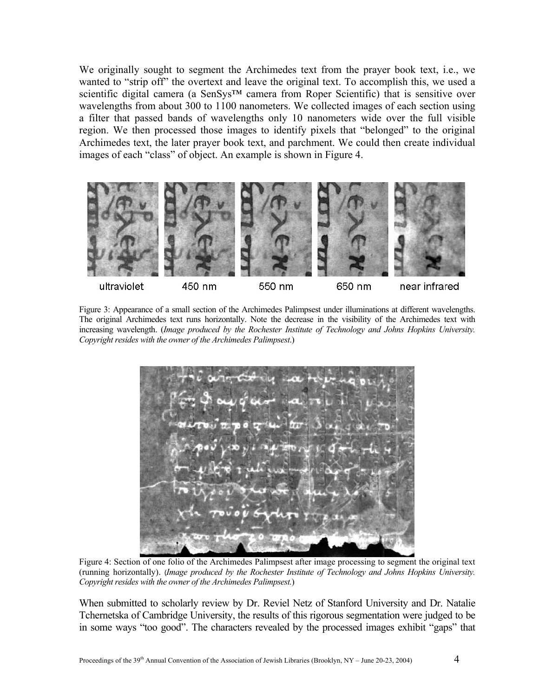We originally sought to segment the Archimedes text from the prayer book text, i.e., we wanted to "strip off" the overtext and leave the original text. To accomplish this, we used a scientific digital camera (a SenSys™ camera from Roper Scientific) that is sensitive over wavelengths from about 300 to 1100 nanometers. We collected images of each section using a filter that passed bands of wavelengths only 10 nanometers wide over the full visible region. We then processed those images to identify pixels that "belonged" to the original Archimedes text, the later prayer book text, and parchment. We could then create individual images of each "class" of object. An example is shown in Figure 4.



Figure 3: Appearance of a small section of the Archimedes Palimpsest under illuminations at different wavelengths. The original Archimedes text runs horizontally. Note the decrease in the visibility of the Archimedes text with increasing wavelength. (*Image produced by the Rochester Institute of Technology and Johns Hopkins University. Copyright resides with the owner of the Archimedes Palimpsest*.)



Figure 4: Section of one folio of the Archimedes Palimpsest after image processing to segment the original text (running horizontally). (*Image produced by the Rochester Institute of Technology and Johns Hopkins University. Copyright resides with the owner of the Archimedes Palimpsest.*)

When submitted to scholarly review by Dr. Reviel Netz of Stanford University and Dr. Natalie Tchernetska of Cambridge University, the results of this rigorous segmentation were judged to be in some ways "too good". The characters revealed by the processed images exhibit "gaps" that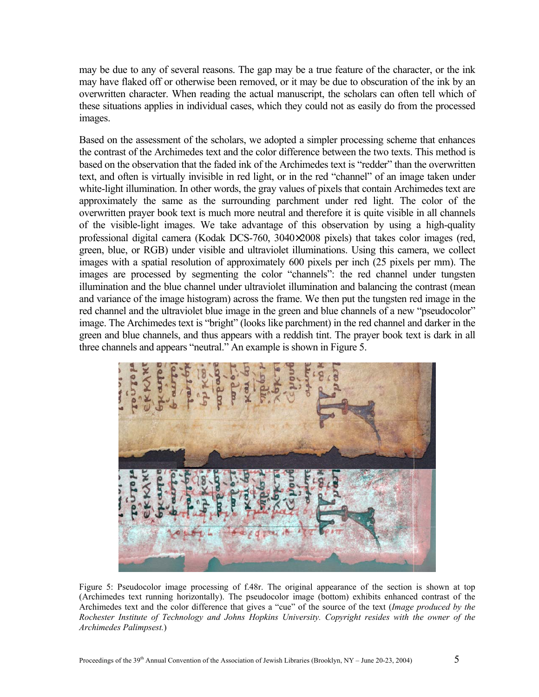may be due to any of several reasons. The gap may be a true feature of the character, or the ink may have flaked off or otherwise been removed, or it may be due to obscuration of the ink by an overwritten character. When reading the actual manuscript, the scholars can often tell which of these situations applies in individual cases, which they could not as easily do from the processed images.

Based on the assessment of the scholars, we adopted a simpler processing scheme that enhances the contrast of the Archimedes text and the color difference between the two texts. This method is based on the observation that the faded ink of the Archimedes text is "redder" than the overwritten text, and often is virtually invisible in red light, or in the red "channel" of an image taken under white-light illumination. In other words, the gray values of pixels that contain Archimedes text are approximately the same as the surrounding parchment under red light. The color of the overwritten prayer book text is much more neutral and therefore it is quite visible in all channels of the visible-light images. We take advantage of this observation by using a high-quality professional digital camera (Kodak DCS-760, 3040×2008 pixels) that takes color images (red, green, blue, or RGB) under visible and ultraviolet illuminations. Using this camera, we collect images with a spatial resolution of approximately 600 pixels per inch (25 pixels per mm). The images are processed by segmenting the color "channels": the red channel under tungsten illumination and the blue channel under ultraviolet illumination and balancing the contrast (mean and variance of the image histogram) across the frame. We then put the tungsten red image in the red channel and the ultraviolet blue image in the green and blue channels of a new "pseudocolor" image. The Archimedes text is "bright" (looks like parchment) in the red channel and darker in the green and blue channels, and thus appears with a reddish tint. The prayer book text is dark in all three channels and appears "neutral." An example is shown in Figure 5.



Figure 5: Pseudocolor image processing of f.48r. The original appearance of the section is shown at top (Archimedes text running horizontally). The pseudocolor image (bottom) exhibits enhanced contrast of the Archimedes text and the color difference that gives a "cue" of the source of the text (*Image produced by the Rochester Institute of Technology and Johns Hopkins University. Copyright resides with the owner of the Archimedes Palimpsest.*)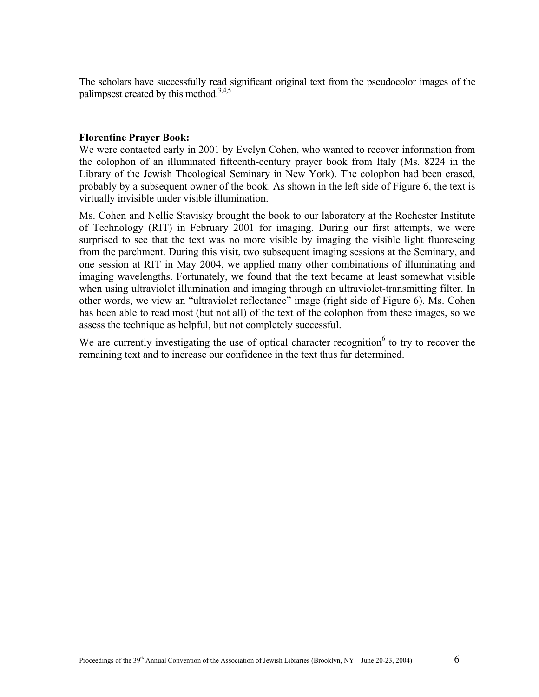The scholars have successfully read significant original text from the pseudocolor images of the palimpsest created by this method.<sup>3,4,5</sup>

# **Florentine Prayer Book:**

We were contacted early in 2001 by Evelyn Cohen, who wanted to recover information from the colophon of an illuminated fifteenth-century prayer book from Italy (Ms. 8224 in the Library of the Jewish Theological Seminary in New York). The colophon had been erased, probably by a subsequent owner of the book. As shown in the left side of Figure 6, the text is virtually invisible under visible illumination.

Ms. Cohen and Nellie Stavisky brought the book to our laboratory at the Rochester Institute of Technology (RIT) in February 2001 for imaging. During our first attempts, we were surprised to see that the text was no more visible by imaging the visible light fluorescing from the parchment. During this visit, two subsequent imaging sessions at the Seminary, and one session at RIT in May 2004, we applied many other combinations of illuminating and imaging wavelengths. Fortunately, we found that the text became at least somewhat visible when using ultraviolet illumination and imaging through an ultraviolet-transmitting filter. In other words, we view an "ultraviolet reflectance" image (right side of Figure 6). Ms. Cohen has been able to read most (but not all) of the text of the colophon from these images, so we assess the technique as helpful, but not completely successful.

We are currently investigating the use of optical character recognition $6$  to try to recover the remaining text and to increase our confidence in the text thus far determined.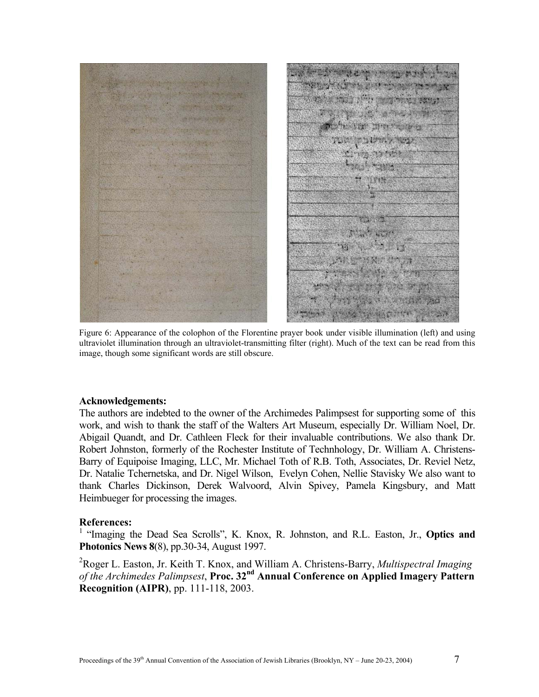

Figure 6: Appearance of the colophon of the Florentine prayer book under visible illumination (left) and using ultraviolet illumination through an ultraviolet-transmitting filter (right). Much of the text can be read from this image, though some significant words are still obscure.

#### **Acknowledgements:**

The authors are indebted to the owner of the Archimedes Palimpsest for supporting some of this work, and wish to thank the staff of the Walters Art Museum, especially Dr. William Noel, Dr. Abigail Quandt, and Dr. Cathleen Fleck for their invaluable contributions. We also thank Dr. Robert Johnston, formerly of the Rochester Institute of Technhology, Dr. William A. Christens-Barry of Equipoise Imaging, LLC, Mr. Michael Toth of R.B. Toth, Associates, Dr. Reviel Netz, Dr. Natalie Tchernetska, and Dr. Nigel Wilson, Evelyn Cohen, Nellie Stavisky We also want to thank Charles Dickinson, Derek Walvoord, Alvin Spivey, Pamela Kingsbury, and Matt Heimbueger for processing the images.

### **References:**

<sup>1</sup> "Imaging the Dead Sea Scrolls", K. Knox, R. Johnston, and R.L. Easton, Jr., **Optics and Photonics News 8**(8), pp.30-34, August 1997.

2 Roger L. Easton, Jr. Keith T. Knox, and William A. Christens-Barry, *Multispectral Imaging of the Archimedes Palimpsest*, **Proc. 32nd Annual Conference on Applied Imagery Pattern Recognition (AIPR)**, pp. 111-118, 2003.